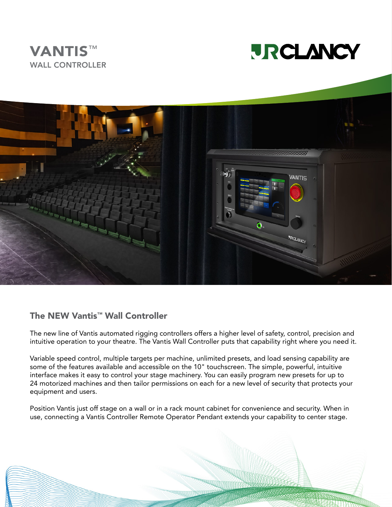





#### The NEW Vantis™ Wall Controller

The new line of Vantis automated rigging controllers offers a higher level of safety, control, precision and intuitive operation to your theatre. The Vantis Wall Controller puts that capability right where you need it.

Variable speed control, multiple targets per machine, unlimited presets, and load sensing capability are some of the features available and accessible on the 10" touchscreen. The simple, powerful, intuitive interface makes it easy to control your stage machinery. You can easily program new presets for up to 24 motorized machines and then tailor permissions on each for a new level of security that protects your equipment and users.

Position Vantis just off stage on a wall or in a rack mount cabinet for convenience and security. When in use, connecting a Vantis Controller Remote Operator Pendant extends your capability to center stage.